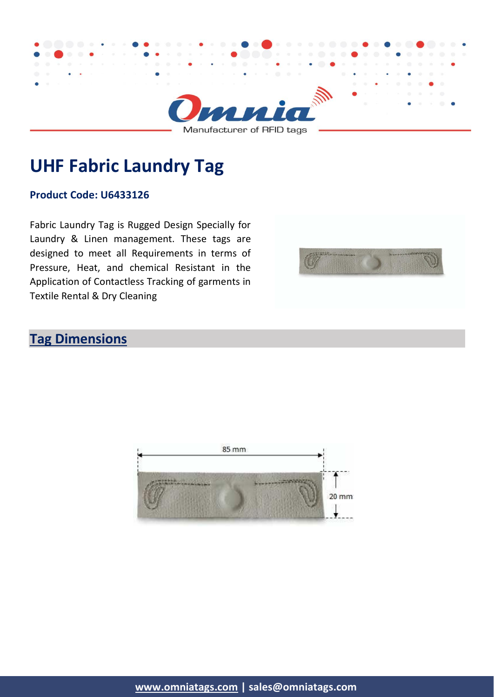

# **UHF Fabric Laundry Tag**

#### **Product Code: U6433126**

Fabric Laundry Tag is Rugged Design Specially for Laundry & Linen management. These tags are designed to meet all Requirements in terms of Pressure, Heat, and chemical Resistant in the Application of Contactless Tracking of garments in Textile Rental & Dry Cleaning



#### **Tag Dimensions**

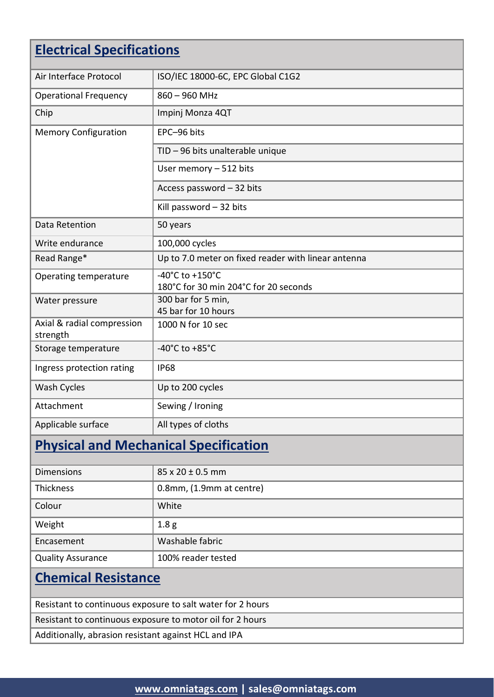# **Electrical Specifications**

| ISO/IEC 18000-6C, EPC Global C1G2                        |
|----------------------------------------------------------|
| $860 - 960$ MHz                                          |
| Impinj Monza 4QT                                         |
| EPC-96 bits                                              |
| TID - 96 bits unalterable unique                         |
| User memory - 512 bits                                   |
| Access password - 32 bits                                |
| Kill password $-32$ bits                                 |
| 50 years                                                 |
| 100,000 cycles                                           |
| Up to 7.0 meter on fixed reader with linear antenna      |
| -40°C to +150°C<br>180°C for 30 min 204°C for 20 seconds |
| 300 bar for 5 min,<br>45 bar for 10 hours                |
| 1000 N for 10 sec                                        |
| -40°C to +85°C                                           |
| <b>IP68</b>                                              |
| Up to 200 cycles                                         |
| Sewing / Ironing                                         |
| All types of cloths                                      |
|                                                          |

# **Physical and Mechanical Specification**

| <b>Dimensions</b>        | $85 \times 20 \pm 0.5$ mm |
|--------------------------|---------------------------|
| <b>Thickness</b>         | 0.8mm, (1.9mm at centre)  |
| Colour                   | White                     |
| Weight                   | 1.8 <sub>g</sub>          |
| Encasement               | Washable fabric           |
| <b>Quality Assurance</b> | 100% reader tested        |

### **Chemical Resistance**

Resistant to continuous exposure to salt water for 2 hours

Resistant to continuous exposure to motor oil for 2 hours

Additionally, abrasion resistant against HCL and IPA